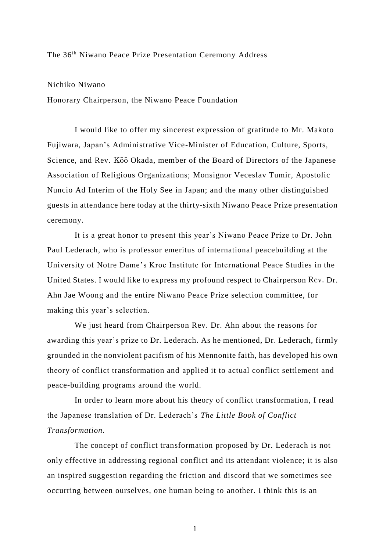The 36th Niwano Peace Prize Presentation Ceremony Address

Nichiko Niwano

Honorary Chairperson, the Niwano Peace Foundation

I would like to offer my sincerest expression of gratitude to Mr. Makoto Fujiwara, Japan's Administrative Vice-Minister of Education, Culture, Sports, Science, and Rev. Kōō Okada, member of the Board of Directors of the Japanese Association of Religious Organizations; Monsignor Veceslav Tumir, Apostolic Nuncio Ad Interim of the Holy See in Japan; and the many other distinguished guests in attendance here today at the thirty-sixth Niwano Peace Prize presentation ceremony.

It is a great honor to present this year's Niwano Peace Prize to Dr. John Paul Lederach, who is professor emeritus of international peacebuilding at the University of Notre Dame's Kroc Institute for International Peace Studies in the United States. I would like to express my profound respect to Chairperson Rev. Dr. Ahn Jae Woong and the entire Niwano Peace Prize selection committee, for making this year's selection.

We just heard from Chairperson Rev. Dr. Ahn about the reasons for awarding this year's prize to Dr. Lederach. As he mentioned, Dr. Lederach, firmly grounded in the nonviolent pacifism of his Mennonite faith, has developed his own theory of conflict transformation and applied it to actual conflict settlement and peace-building programs around the world.

In order to learn more about his theory of conflict transformation, I read the Japanese translation of Dr. Lederach's *The Little Book of Conflict Transformation.*

The concept of conflict transformation proposed by Dr. Lederach is not only effective in addressing regional conflict and its attendant violence; it is also an inspired suggestion regarding the friction and discord that we sometimes see occurring between ourselves, one human being to another. I think this is an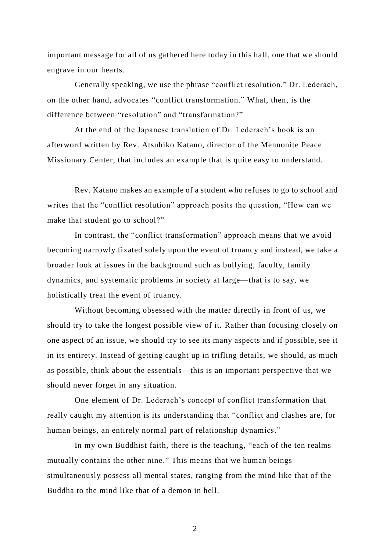important message for all of us gathered here today in this hall, one that we should engrave in our hearts.

Generally speaking, we use the phrase "conflict resolution." Dr. Lederach, on the other hand, advocates "conflict transformation." What, then, is the difference between "resolution" and "transformation?"

At the end of the Japanese translation of Dr. Lederach's book is an afterword written by Rev. Atsuhiko Katano, director of the Mennonite Peace Missionary Center, that includes an example that is quite easy to understand.

Rev. Katano makes an example of a student who refuses to go to school and writes that the "conflict resolution" approach posits the question, "How can we make that student go to school?"

In contrast, the "conflict transformation" approach means that we avoid becoming narrowly fixated solely upon the event of truancy and instead, we take a broader look at issues in the background such as bullying, faculty, family dynamics, and systematic problems in society at large—that is to say, we holistically treat the event of truancy.

Without becoming obsessed with the matter directly in front of us, we should try to take the longest possible view of it. Rather than focusing closely on one aspect of an issue, we should try to see its many aspects and if possible, see it in its entirety. Instead of getting caught up in trifling details, we should, as much as possible, think about the essentials—this is an important perspective that we should never forget in any situation.

One element of Dr. Lederach's concept of conflict transformation that really caught my attention is its understanding that "conflict and clashes are, for human beings, an entirely normal part of relationship dynamics."

In my own Buddhist faith, there is the teaching, "each of the ten realms mutually contains the other nine." This means that we human beings simultaneously possess all mental states, ranging from the mind like that of the Buddha to the mind like that of a demon in hell.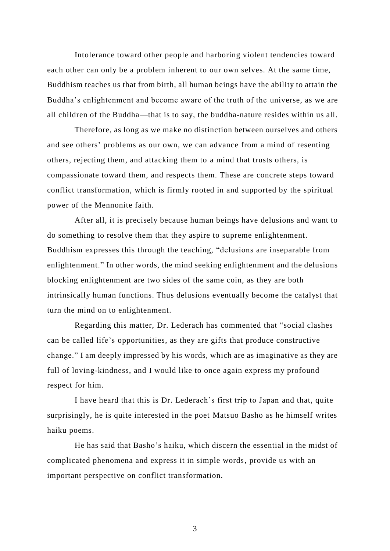Intolerance toward other people and harboring violent tendencies toward each other can only be a problem inherent to our own selves. At the same time, Buddhism teaches us that from birth, all human beings have the ability to attain the Buddha's enlightenment and become aware of the truth of the universe, as we are all children of the Buddha—that is to say, the buddha-nature resides within us all.

Therefore, as long as we make no distinction between ourselves and others and see others' problems as our own, we can advance from a mind of resenting others, rejecting them, and attacking them to a mind that trusts others, is compassionate toward them, and respects them. These are concrete steps toward conflict transformation, which is firmly rooted in and supported by the spiritual power of the Mennonite faith.

After all, it is precisely because human beings have delusions and want to do something to resolve them that they aspire to supreme enlightenment. Buddhism expresses this through the teaching, "delusions are inseparable from enlightenment." In other words, the mind seeking enlightenment and the delusions blocking enlightenment are two sides of the same coin, as they are both intrinsically human functions. Thus delusions eventually become the catalyst that turn the mind on to enlightenment.

Regarding this matter, Dr. Lederach has commented that "social clashes can be called life's opportunities, as they are gifts that produce constructive change." I am deeply impressed by his words, which are as imaginative as they are full of loving-kindness, and I would like to once again express my profound respect for him.

I have heard that this is Dr. Lederach's first trip to Japan and that, quite surprisingly, he is quite interested in the poet Matsuo Basho as he himself writes haiku poems.

He has said that Basho's haiku, which discern the essential in the midst of complicated phenomena and express it in simple words, provide us with an important perspective on conflict transformation.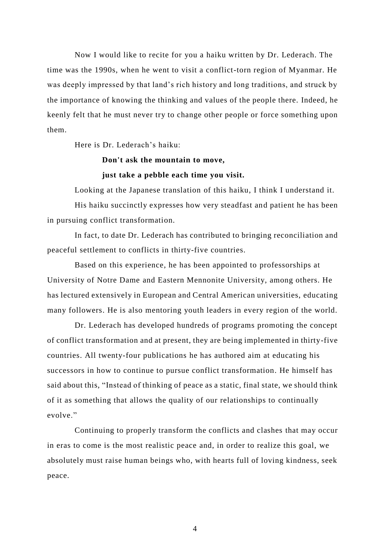Now I would like to recite for you a haiku written by Dr. Lederach. The time was the 1990s, when he went to visit a conflict-torn region of Myanmar. He was deeply impressed by that land's rich history and long traditions, and struck by the importance of knowing the thinking and values of the people there. Indeed, he keenly felt that he must never try to change other people or force something upon them.

Here is Dr. Lederach's haiku:

## **Don't ask the mountain to move,**

## **just take a pebble each time you visit.**

Looking at the Japanese translation of this haiku, I think I understand it. His haiku succinctly expresses how very steadfast and patient he has been in pursuing conflict transformation.

In fact, to date Dr. Lederach has contributed to bringing reconciliation and peaceful settlement to conflicts in thirty-five countries.

Based on this experience, he has been appointed to professorships at University of Notre Dame and Eastern Mennonite University, among others. He has lectured extensively in European and Central American universities, educating many followers. He is also mentoring youth leaders in every region of the world.

Dr. Lederach has developed hundreds of programs promoting the concept of conflict transformation and at present, they are being implemented in thirty-five countries. All twenty-four publications he has authored aim at educating his successors in how to continue to pursue conflict transformation. He himself has said about this, "Instead of thinking of peace as a static, final state, we should think of it as something that allows the quality of our relationships to continually evolve."

Continuing to properly transform the conflicts and clashes that may occur in eras to come is the most realistic peace and, in order to realize this goal, we absolutely must raise human beings who, with hearts full of loving kindness, seek peace.